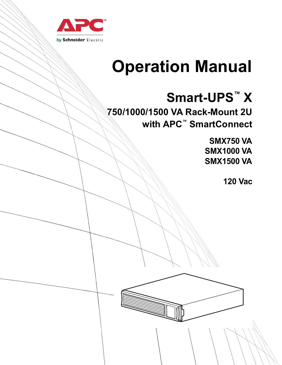

# **Operation Manual**

## **Smart-UPS™ X**

**750/1000/1500 VA Rack-Mount 2U with APC™ SmartConnect**

> **SMX750 VA SMX1000 VA SMX1500 VA**

> > **120 Vac**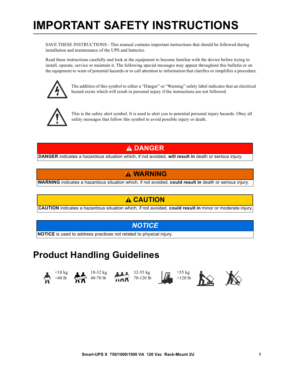## **IMPORTANT SAFETY INSTRUCTIONS**

SAVE THESE INSTRUCTIONS - This manual contains important instructions that should be followed during installation and maintenance of the UPS and batteries.

Read these instructions carefully and look at the equipment to become familiar with the device before trying to install, operate, service or maintain it. The following special messages may appear throughout this bulletin or on the equipment to warn of potential hazards or to call attention to information that clarifies or simplifies a procedure.



The addition of this symbol to either a "Danger" or "Warning" safety label indicates that an electrical hazard exists which will result in personal injury if the instructions are not followed.



This is the safety alert symbol. It is used to alert you to potential personal injury hazards. Obey all safety messages that follow this symbol to avoid possible injury or death.

#### **DANGER**

**DANGER** indicates a hazardous situation which, if not avoided, **will result in** death or serious injury.

#### **WARNING**

**WARNING** indicates a hazardous situation which, if not avoided, **could result in** death or serious injury.

### **CAUTION**

**CAUTION** indicates a hazardous situation which, if not avoided, **could result in** minor or moderate injury.

#### *NOTICE*

**NOTICE** is used to address practices not related to physical injury.

### **Product Handling Guidelines**













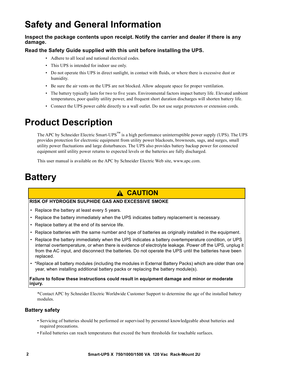## **Safety and General Information**

#### **Inspect the package contents upon receipt. Notify the carrier and dealer if there is any damage.**

#### **Read the Safety Guide supplied with this unit before installing the UPS.**

- Adhere to all local and national electrical codes.
- This UPS is intended for indoor use only.
- Do not operate this UPS in direct sunlight, in contact with fluids, or where there is excessive dust or humidity.
- Be sure the air vents on the UPS are not blocked. Allow adequate space for proper ventilation.
- The battery typically lasts for two to five years. Environmental factors impact battery life. Elevated ambient temperatures, poor quality utility power, and frequent short duration discharges will shorten battery life.
- Connect the UPS power cable directly to a wall outlet. Do not use surge protectors or extension cords.

## **Product Description**

The APC by Schneider Electric Smart-UPS™ is a high performance uninterruptible power supply (UPS). The UPS provides protection for electronic equipment from utility power blackouts, brownouts, sags, and surges, small utility power fluctuations and large disturbances. The UPS also provides battery backup power for connected equipment until utility power returns to expected levels or the batteries are fully discharged.

This user manual is available on the APC by Schneider Electric Web site, www.apc.com.

## **Battery**

### **CAUTION**

#### **RISK OF HYDROGEN SULPHIDE GAS AND EXCESSIVE SMOKE**

- Replace the battery at least every 5 years.
- Replace the battery immediately when the UPS indicates battery replacement is necessary.
- Replace battery at the end of its service life.
- Replace batteries with the same number and type of batteries as originally installed in the equipment.
- Replace the battery immediately when the UPS indicates a battery overtemperature condition, or UPS internal overtemperature, or when there is evidence of electrolyte leakage. Power off the UPS, unplug it from the AC input, and disconnect the batteries. Do not operate the UPS until the batteries have been replaced.
- \*Replace all battery modules (including the modules in External Battery Packs) which are older than one year, when installing additional battery packs or replacing the battery module(s).

**Failure to follow these instructions could result in equipment damage and minor or moderate injury.**

\*Contact APC by Schneider Electric Worldwide Customer Support to determine the age of the installed battery modules.

#### **Battery safety**

- Servicing of batteries should be performed or supervised by personnel knowledgeable about batteries and required precautions.
- Failed batteries can reach temperatures that exceed the burn thresholds for touchable surfaces.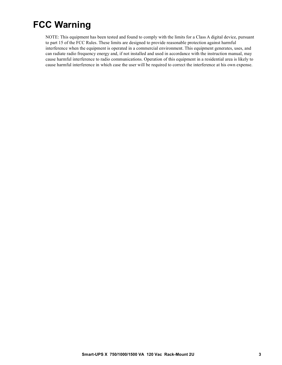### **FCC Warning**

NOTE: This equipment has been tested and found to comply with the limits for a Class A digital device, pursuant to part 15 of the FCC Rules. These limits are designed to provide reasonable protection against harmful interference when the equipment is operated in a commercial environment. This equipment generates, uses, and can radiate radio frequency energy and, if not installed and used in accordance with the instruction manual, may cause harmful interference to radio communications. Operation of this equipment in a residential area is likely to cause harmful interference in which case the user will be required to correct the interference at his own expense.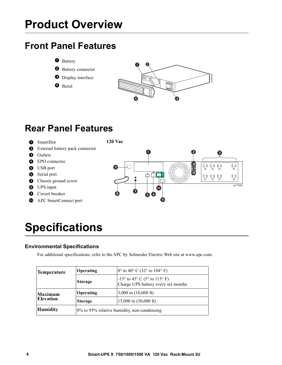## **Product Overview**

## **Front Panel Features**

**O** Battery

**2** Battery connector

- **O** Display interface
- **O** Bezel



## **Rear Panel Features**

SmartSlot **120 Vac**

- External battery pack connector
- **O** Outlets
- **O** EPO connector
- **O** USB port
- **6** Serial port
- **O** Chassis ground screw
- **O** UPS input
- **O** Circuit breaker
- **C** APC SmartConnect port



## **Specifications**

#### **Environmental Specifications**

For additional specifications, refer to the APC by Schneider Electric Web site at www.apc.com.

| <b>Temperature</b>                 | <b>Operating</b>                                           | $ 0^{\circ}$ to 40° C (32° to 104° F)                                        |
|------------------------------------|------------------------------------------------------------|------------------------------------------------------------------------------|
|                                    | Storage                                                    | $-15^{\circ}$ to 45° C (5° to 113° F)<br>Charge UPS battery every six months |
| <b>Maximum</b><br><b>Elevation</b> | Operating                                                  | $3,000 \text{ m}$ (10,000 ft)                                                |
|                                    | $15,000 \text{ m}$ (50,000 ft)<br><b>Storage</b>           |                                                                              |
| <b>Humidity</b>                    | $\frac{10\%}{10}$ to 95% relative humidity, non-condensing |                                                                              |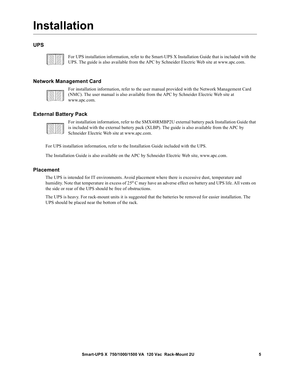## **Installation**

#### **UPS**



For UPS installation information, refer to the Smart-UPS X Installation Guide that is included with the UPS. The guide is also available from the APC by Schneider Electric Web site at www.apc.com.

#### **Network Management Card**

For installation information, refer to the user manual provided with the Network Management Card (NMC). The user manual is also available from the APC by Schneider Electric Web site at www.apc.com.

#### **External Battery Pack**

For installation information, refer to the SMX48RMBP2U external battery pack Installation Guide that is included with the external battery pack (XLBP). The guide is also available from the APC by Schneider Electric Web site at www.apc.com.

For UPS installation information, refer to the Installation Guide included with the UPS.

The Installation Guide is also available on the APC by Schneider Electric Web site, www.apc.com.

#### **Placement**

The UPS is intended for IT environments. Avoid placement where there is excessive dust, temperature and humidity. Note that temperature in excess of 25 $^{\circ}$ C may have an adverse effect on battery and UPS life. All vents on the side or rear of the UPS should be free of obstructions.

The UPS is heavy. For rack-mount units it is suggested that the batteries be removed for easier installation. The UPS should be placed near the bottom of the rack.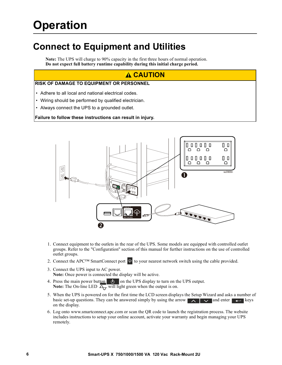## **Operation**

### **Connect to Equipment and Utilities**

**Note:** The UPS will charge to 90% capacity in the first three hours of normal operation. **Do not expect full battery runtime capability during this initial charge period.**

#### **CAUTION**

#### **RISK OF DAMAGE TO EQUIPMENT OR PERSONNEL**

- Adhere to all local and national electrical codes.
- Wiring should be performed by qualified electrician.
- Always connect the UPS to a grounded outlet.

#### **Failure to follow these instructions can result in injury.**



- 1. Connect equipment to the outlets in the rear of the UPS. Some models are equipped with controlled outlet groups. Refer to the "Configuration" section of this manual for further instructions on the use of controlled outlet groups.
- 2. Connect the APC<sup>™</sup> SmartConnect port  $\circledast$  to your nearest network switch using the cable provided.
- 3. Connect the UPS input to AC power. **Note:** Once power is connected the display will be active.
- 4. Press the main power button  $\bigcirc$  on the UPS display to turn on the UPS output. **Note:** The On-line LED  $\overline{A_7}$  will light green when the output is on.
- 5. When the UPS is powered on for the first time the LCD screen displays the Setup Wizard and asks a number of basic set-up questions. They can be answered simply by using the arrow  $\Delta$   $\Delta$   $\Delta$  and enter keys on the display.
- 6. Log onto www.smartconnect.apc.com or scan the QR code to launch the registration process. The website includes instructions to setup your online account, activate your warranty and begin managing your UPS remotely.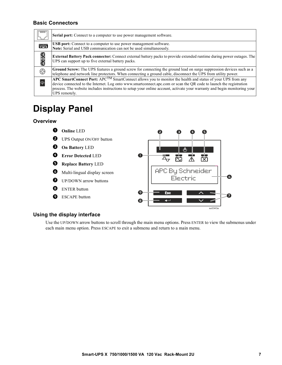#### **Basic Connectors**

|                         | Serial port: Connect to a computer to use power management software.                                                                                                                                                                                                                                                                                                                              |
|-------------------------|---------------------------------------------------------------------------------------------------------------------------------------------------------------------------------------------------------------------------------------------------------------------------------------------------------------------------------------------------------------------------------------------------|
| 医室                      | <b>USB</b> port: Connect to a computer to use power management software.<br>Note: Serial and USB communication can not be used simultaneously.                                                                                                                                                                                                                                                    |
| CIGRED                  | <b>External Battery Pack connector:</b> Connect external battery packs to provide extended runtime during power outages. The<br>UPS can support up to five external battery packs.                                                                                                                                                                                                                |
| $\bigodot$              | Ground Screw: The UPS features a ground screw for connecting the ground lead on surge suppression devices such as a<br>telephone and network line protectors. When connecting a ground cable, disconnect the UPS from utility power.                                                                                                                                                              |
| $\overline{\mathbb{P}}$ | <b>APC SmartConnect Port:</b> APC <sup>TM</sup> SmartConnect allows you to monitor the health and status of your UPS from any<br>device connected to the Internet. Log onto www.smartconnect.apc.com or scan the QR code to launch the registration<br>process. The website includes instructions to setup your online account, activate your warranty and begin monitoring your<br>UPS remotely. |

## **Display Panel**

#### **Overview**



#### **Using the display interface**

Use the UP/DOWN arrow buttons to scroll through the main menu options. Press ENTER to view the submenus under each main menu option. Press ESCAPE to exit a submenu and return to a main menu.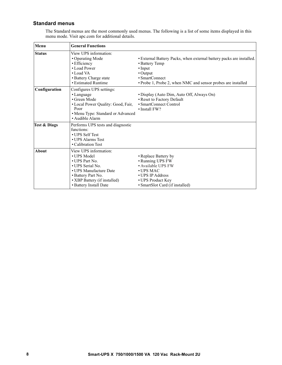#### **Standard menus**

The Standard menus are the most commonly used menus. The following is a list of some items displayed in this menu mode. Visit apc.com for additional details.

| Menu                    | <b>General Functions</b>                                                                                                                                                             |                                                                                                                                                                                                       |
|-------------------------|--------------------------------------------------------------------------------------------------------------------------------------------------------------------------------------|-------------------------------------------------------------------------------------------------------------------------------------------------------------------------------------------------------|
| <b>Status</b>           | View UPS information:<br>• Operating Mode<br>• Efficiency<br>• Load Power<br>$\bullet$ Load VA<br>• Battery Charge state<br>• Estimated Runtime                                      | • External Battery Packs, when external battery packs are installed.<br>• Battery Temp<br>$\cdot$ Input<br>• Output<br>• SmartConnect<br>• Probe 1, Probe 2, when NMC and sensor probes are installed |
| Configuration           | Configures UPS settings:<br>• Language<br>• Green Mode<br>• Local Power Quality: Good, Fair,<br>Poor<br>• Menu Type: Standard or Advanced<br>• Audible Alarm                         | • Display (Auto Dim, Auto Off, Always On)<br>• Reset to Factory Default<br>• SmartConnect Control<br>$\cdot$ Install FW?                                                                              |
| <b>Test &amp; Diags</b> | Performs UPS tests and diagnostic<br>functions:<br>• UPS Self Test<br>• UPS Alarms Test<br>• Calibration Test                                                                        |                                                                                                                                                                                                       |
| About                   | View UPS information:<br>• UPS Model<br>• UPS Part No.<br>• UPS Serial No.<br>• UPS Manufacture Date<br>• Battery Part No.<br>• XBP Battery (if installed)<br>• Battery Install Date | • Replace Battery by<br>• Running UPS FW<br>• Available UPS FW<br>$\cdot$ UPS MAC<br>• UPS IP Address<br>• UPS Product Key<br>• SmartSlot Card (if installed)                                         |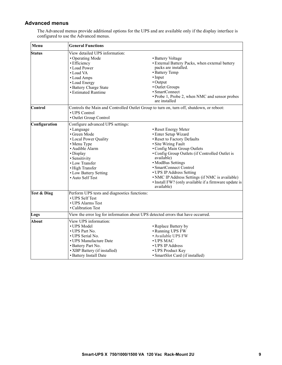#### **Advanced menus**

The Advanced menus provide additional options for the UPS and are available only if the display interface is configured to use the Advanced menus.

| Menu                   | <b>General Functions</b>                                                                                                                                                                                                                  |                                                                                                                                                                                                                                                                                                                                                                                                         |  |  |
|------------------------|-------------------------------------------------------------------------------------------------------------------------------------------------------------------------------------------------------------------------------------------|---------------------------------------------------------------------------------------------------------------------------------------------------------------------------------------------------------------------------------------------------------------------------------------------------------------------------------------------------------------------------------------------------------|--|--|
| <b>Status</b>          | View detailed UPS information:<br>• Operating Mode<br>· Efficiency<br>• Load Power<br>• Load VA<br>• Load Amps<br>• Load Energy<br>• Battery Charge State<br>· Estimated Runtime                                                          | • Battery Voltage<br>· External Battery Packs, when external battery<br>packs are installed.<br>• Battery Temp<br>$\cdot$ Input<br>• Output<br>• Outlet Groups<br>· SmartConnect<br>• Probe 1, Probe 2, when NMC and sensor probes<br>are installed                                                                                                                                                     |  |  |
| Control                | Controls the Main and Controlled Outlet Group to turn on, turn off, shutdown, or reboot:<br>• UPS Control<br>• Outlet Group Control                                                                                                       |                                                                                                                                                                                                                                                                                                                                                                                                         |  |  |
| Configuration          | Configure advanced UPS settings:<br>• Language<br>• Green Mode<br>• Local Power Quality<br>• Menu Type<br>· Audible Alarm<br>• Display<br>· Sensitivity<br>• Low Transfer<br>• High Transfer<br>• Low Battery Setting<br>• Auto Self Test | • Reset Energy Meter<br>• Enter Setup Wizard<br>• Reset to Factory Defaults<br>· Site Wiring Fault<br>• Config Main Group Outlets<br>• Config Group Outlets (if Controlled Outlet is<br>available)<br>• ModBus Settings<br>• SmartConnect Control<br>• UPS IP Address Setting<br>• NMC IP Address Settings (if NMC is available)<br>• Install FW? (only available if a firmware update is<br>available) |  |  |
| <b>Test &amp; Diag</b> | Perform UPS tests and diagnostics functions:<br>• UPS Self Test<br>• UPS Alarms Test<br>• Calibration Test                                                                                                                                |                                                                                                                                                                                                                                                                                                                                                                                                         |  |  |
| Logs                   | View the error log for information about UPS detected errors that have occurred.                                                                                                                                                          |                                                                                                                                                                                                                                                                                                                                                                                                         |  |  |
| About                  | View UPS information:<br>• UPS Model<br>• UPS Part No.<br>• UPS Serial No.<br>• UPS Manufacture Date<br>• Battery Part No.<br>• XBP Battery (if installed)<br>• Battery Install Date                                                      | • Replace Battery by<br>• Running UPS FW<br>· Available UPS FW<br>$\cdot$ UPS MAC<br>• UPS IP Address<br>• UPS Product Key<br>• SmartSlot Card (if installed)                                                                                                                                                                                                                                           |  |  |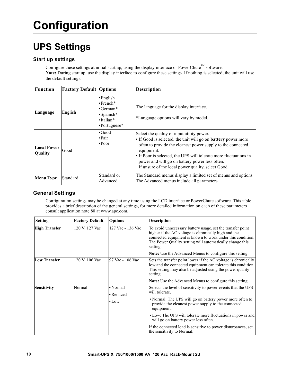## **Configuration**

## **UPS Settings**

#### **Start up settings**

Configure these settings at initial start up, using the display interface or PowerChute™ software. **Note:** During start up, use the display interface to configure these settings. If nothing is selected, the unit will use the default settings.

| <b>Function</b>               | <b>Factory Default Options</b> |                                                                                                         | <b>Description</b>                                                                                                                                                                                                                                                                                                                                                           |
|-------------------------------|--------------------------------|---------------------------------------------------------------------------------------------------------|------------------------------------------------------------------------------------------------------------------------------------------------------------------------------------------------------------------------------------------------------------------------------------------------------------------------------------------------------------------------------|
| Language                      | English                        | $\cdot$ English<br>$\cdot$ French*<br>$\cdot$ German*<br>· Spanish*<br>$\cdot$ Italian*<br>•Portuguese* | The language for the display interface.<br>*Language options will vary by model.                                                                                                                                                                                                                                                                                             |
| <b>Local Power</b><br>Quality | Good                           | $\cdot$ Good<br>$\cdot$ Fair<br>$\cdot$ Poor                                                            | Select the quality of input utility power.<br>• If Good is selected, the unit will go on <b>battery</b> power more<br>often to provide the cleanest power supply to the connected<br>equipment.<br>• If Poor is selected, the UPS will tolerate more fluctuations in<br>power and will go on battery power less often.<br>If unsure of the local power quality, select Good. |
| <b>Menu Type</b>              | Standard                       | Standard or<br>Advanced                                                                                 | The Standard menus display a limited set of menus and options.<br>The Advanced menus include all parameters.                                                                                                                                                                                                                                                                 |

#### **General Settings**

Configuration settings may be changed at any time using the LCD interface or PowerChute software. This table provides a brief description of the general settings, for more detailed information on each of these parameters consult application note 80 at www.apc.com.

| <b>Setting</b>       | <b>Factory Default</b> | <b>Options</b>        | <b>Description</b>                                                                                                                                                                                                                                       |
|----------------------|------------------------|-----------------------|----------------------------------------------------------------------------------------------------------------------------------------------------------------------------------------------------------------------------------------------------------|
| <b>High Transfer</b> | 120 V: 127 Vac         | 127 Vac - 136 Vac     | To avoid unnecessary battery usage, set the transfer point<br>higher if the AC voltage is chronically high and the<br>connected equipment is known to work under this condition.<br>The Power Quality setting will automatically change this<br>setting. |
|                      |                        |                       | <b>Note:</b> Use the Advanced Menus to configure this setting.                                                                                                                                                                                           |
| <b>Low Transfer</b>  | 120 V: 106 Vac         | 97 Vac - 106 Vac      | Sets the transfer point lower if the AC voltage is chronically<br>low and the connected equipment can tolerate this condition.<br>This setting may also be adjusted using the power quality<br>setting.                                                  |
|                      |                        |                       | <b>Note:</b> Use the Advanced Menus to configure this setting.                                                                                                                                                                                           |
| Sensitivity          | Normal                 | • Normal<br>• Reduced | Selects the level of sensitivity to power events that the UPS<br>will tolerate.                                                                                                                                                                          |
|                      |                        | $\cdot$ Low           | • Normal: The UPS will go on battery power more often to<br>provide the cleanest power supply to the connected<br>equipment.                                                                                                                             |
|                      |                        |                       | • Low: The UPS will tolerate more fluctuations in power and<br>will go on battery power less often.                                                                                                                                                      |
|                      |                        |                       | If the connected load is sensitive to power disturbances, set<br>the sensitivity to Normal.                                                                                                                                                              |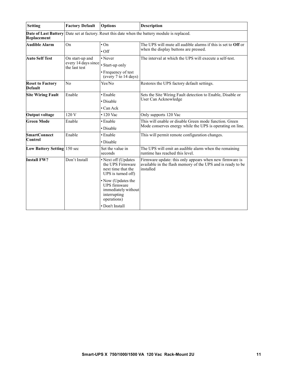| <b>Setting</b>                             | <b>Factory Default</b>                                  | <b>Options</b>                                                                                                                                                                                            | <b>Description</b>                                                                                                                  |
|--------------------------------------------|---------------------------------------------------------|-----------------------------------------------------------------------------------------------------------------------------------------------------------------------------------------------------------|-------------------------------------------------------------------------------------------------------------------------------------|
| <b>Date of Last Battery</b><br>Replacement |                                                         |                                                                                                                                                                                                           | Date set at factory. Reset this date when the battery module is replaced.                                                           |
| <b>Audible Alarm</b>                       | On                                                      | $\cdot$ On<br>$\cdot$ Off                                                                                                                                                                                 | The UPS will mute all audible alarms if this is set to Off or<br>when the display buttons are pressed.                              |
| <b>Auto Self Test</b>                      | On start-up and<br>every 14 days since<br>the last test | • Never<br>• Start-up only<br>• Frequency of test<br>(every 7 to 14 days)                                                                                                                                 | The interval at which the UPS will execute a self-test.                                                                             |
| <b>Reset to Factory</b><br><b>Default</b>  | No                                                      | Yes/No                                                                                                                                                                                                    | Restores the UPS factory default settings.                                                                                          |
| <b>Site Wiring Fault</b>                   | Enable                                                  | • Enable<br>• Disable<br>$\cdot$ Can Ack                                                                                                                                                                  | Sets the Site Wiring Fault detection to Enable, Disable or<br>User Can Acknowledge                                                  |
| <b>Output voltage</b>                      | 120 V                                                   | $\cdot$ 120 Vac                                                                                                                                                                                           | Only supports 120 Vac                                                                                                               |
| <b>Green Mode</b>                          | Enable                                                  | • Enable<br>• Disable                                                                                                                                                                                     | This will enable or disable Green mode function. Green<br>Mode conserves energy while the UPS is operating on line.                 |
| <b>SmartConnect</b><br>Control             | Enable                                                  | • Enable<br>• Disable                                                                                                                                                                                     | This will permit remote configuration changes.                                                                                      |
| Low Battery Setting 150 sec                |                                                         | Set the value in<br>seconds                                                                                                                                                                               | The UPS will emit an audible alarm when the remaining<br>runtime has reached this level.                                            |
| <b>Install FW?</b>                         | Don't Install                                           | · Next off (Updates<br>the UPS Firmware<br>next time that the<br>UPS is turned off)<br>• Now (Updates the<br><b>UPS</b> firmware<br>immediately without<br>interrupting<br>operations)<br>• Don't Install | Firmware update: this only appears when new firmware is<br>available in the flash memory of the UPS and is ready to be<br>installed |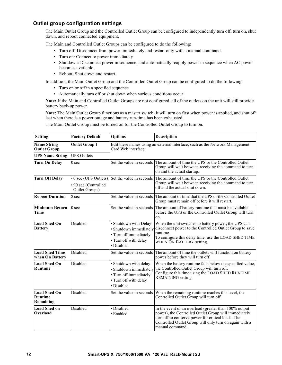#### **Outlet group configuration settings**

The Main Outlet Group and the Controlled Outlet Group can be configured to independently turn off, turn on, shut down, and reboot connected equipment.

The Main and Controlled Outlet Groups can be configured to do the following:

- Turn off: Disconnect from power immediately and restart only with a manual command.
- Turn on: Connect to power immediately.
- Shutdown: Disconnect power in sequence, and automatically reapply power in sequence when AC power becomes available.
- Reboot: Shut down and restart.

In addition, the Main Outlet Group and the Controlled Outlet Group can be configured to do the following:

- Turn on or off in a specified sequence
- Automatically turn off or shut down when various conditions occur

**Note:** If the Main and Controlled Outlet Groups are not configured, all of the outlets on the unit will still provide battery back-up power.

**Note:** The Main Outlet Group functions as a master switch. It will turn on first when power is applied, and shut off last when there is a power outage and battery run-time has been exhausted.

The Main Outlet Group must be turned on for the Controlled Outlet Group to turn on.

| <b>Setting</b>                                     | <b>Factory Default</b>                                          | <b>Options</b>                                                                                                   | Description                                                                                                                                                                                                                                      |
|----------------------------------------------------|-----------------------------------------------------------------|------------------------------------------------------------------------------------------------------------------|--------------------------------------------------------------------------------------------------------------------------------------------------------------------------------------------------------------------------------------------------|
| <b>Name String</b><br><b>Outlet Group</b>          | Outlet Group 1                                                  | Edit these names using an external interface, such as the Network Management<br>Card Web interface.              |                                                                                                                                                                                                                                                  |
| <b>UPS Name String</b>                             | <b>UPS</b> Outlets                                              |                                                                                                                  |                                                                                                                                                                                                                                                  |
| <b>Turn On Delay</b>                               | 0 <sub>sec</sub>                                                | Set the value in seconds                                                                                         | The amount of time the UPS or the Controlled Outlet<br>Group will wait between receiving the command to turn<br>on and the actual startup.                                                                                                       |
| <b>Turn Off Delay</b>                              | • 0 sec (UPS Outlets)<br>• 90 sec (Controlled<br>Outlet Groups) | Set the value in seconds                                                                                         | The amount of time the UPS or the Controlled Outlet<br>Group will wait between receiving the command to turn<br>off and the actual shut down.                                                                                                    |
| <b>Reboot Duration</b>                             | 8 sec                                                           | Set the value in seconds                                                                                         | The amount of time that the UPS or the Controlled Outlet<br>Group must remain off before it will restart.                                                                                                                                        |
| <b>Minimum Return</b><br>Time                      | 0 <sub>sec</sub>                                                | Set the value in seconds                                                                                         | The amount of battery runtime that must be available<br>before the UPS or the Controlled Outlet Group will turn<br>on.                                                                                                                           |
| <b>Load Shed On</b><br><b>Battery</b>              | Disabled                                                        | · Shutdown with Delay<br>· Shutdown immediately<br>• Turn off immediately<br>· Turn off with delay<br>· Disabled | When the unit switches to battery power, the UPS can<br>disconnect power to the Controlled Outlet Group to save<br>runtime.<br>To configure this delay time, use the LOAD SHED TIME<br>WHEN ON BATTERY setting.                                  |
| <b>Load Shed Time</b><br>when On Battery           | Disabled                                                        | Set the value in seconds                                                                                         | The amount of time the outlets will function on battery<br>power before they will turn off.                                                                                                                                                      |
| <b>Load Shed On</b><br><b>Runtime</b>              | Disabled                                                        | · Shutdown with delay<br>· Shutdown immediately<br>• Turn off immediately<br>· Turn off with delay<br>· Disabled | When the battery runtime falls below the specified value,<br>the Controlled Outlet Group will turn off.<br>Configure this time using the LOAD SHED RUNTIME<br>REMAINING setting.                                                                 |
| <b>Load Shed On</b><br><b>Runtime</b><br>Remaining | Disabled                                                        | Set the value in seconds                                                                                         | When the remaining runtime reaches this level, the<br>Controlled Outlet Group will turn off.                                                                                                                                                     |
| <b>Load Shed on</b><br>Overload                    | Disabled                                                        | · Disabled<br>• Enabled                                                                                          | In the event of an overload (greater than 100% output<br>power), the Controlled Outlet Group will immediately<br>turn off to conserve power for critical loads. The<br>Controlled Outlet Group will only turn on again with a<br>manual command. |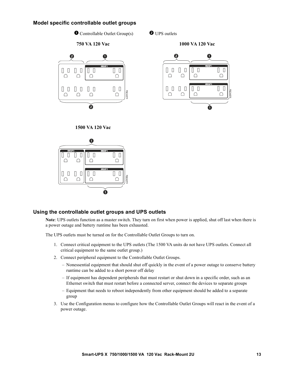#### **Model specific controllable outlet groups**

 $\bullet$  Controllable Outlet Group(s)  $\bullet$  UPS outlets

#### **750 VA 120 Vac 1000 VA 120 Vac**



**1500 VA 120 Vac**



#### **Using the controllable outlet groups and UPS outlets**

**Note**: UPS outlets function as a master switch. They turn on first when power is applied, shut off last when there is a power outage and battery runtime has been exhausted.

The UPS outlets must be turned on for the Controllable Outlet Groups to turn on.

- 1. Connect critical equipment to the UPS outlets (The 1500 VA units do not have UPS outlets. Connect all critical equipment to the same outlet group.)
- 2. Connect peripheral equipment to the Controllable Outlet Groups.
	- Nonessential equipment that should shut off quickly in the event of a power outage to conserve battery runtime can be added to a short power off delay
	- If equipment has dependent peripherals that must restart or shut down in a specific order, such as an Ethernet switch that must restart before a connected server, connect the devices to separate groups
	- Equipment that needs to reboot independently from other equipment should be added to a separate group
- 3. Use the Configuration menus to configure how the Controllable Outlet Groups will react in the event of a power outage.

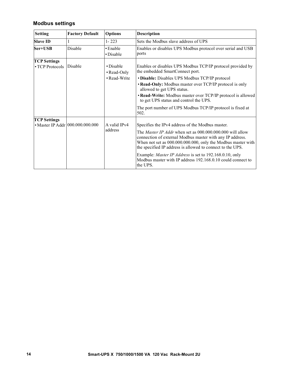#### **Modbus settings**

| <b>Setting</b>                               | <b>Factory Default</b>           | <b>Options</b>                                 | <b>Description</b>                                                                                                                                                                                                                                                                                                                                                                                                                                           |
|----------------------------------------------|----------------------------------|------------------------------------------------|--------------------------------------------------------------------------------------------------------------------------------------------------------------------------------------------------------------------------------------------------------------------------------------------------------------------------------------------------------------------------------------------------------------------------------------------------------------|
| <b>Slave ID</b>                              | 1                                | $1 - 223$                                      | Sets the Modbus slave address of UPS                                                                                                                                                                                                                                                                                                                                                                                                                         |
| Ser+USB                                      | Disable                          | • Enable<br>• Disable                          | Enables or disables UPS Modbus protocol over serial and USB<br>ports                                                                                                                                                                                                                                                                                                                                                                                         |
| <b>TCP Settings</b><br>$\cdot$ TCP Protocols | Disable                          | $\cdot$ Disable<br>• Read-Only<br>• Read-Write | Enables or disables UPS Modbus TCP/IP protocol provided by<br>the embedded SmartConnect port.<br>• Disable: Disables UPS Modbus TCP/IP protocol<br>• Read-Only: Modbus master over TCP/IP protocol is only<br>allowed to get UPS status.<br>• Read-Write: Modbus master over TCP/IP protocol is allowed<br>to get UPS status and control the UPS.<br>The port number of UPS Modbus TCP/IP protocol is fixed at<br>502.                                       |
| <b>TCP Settings</b>                          |                                  |                                                |                                                                                                                                                                                                                                                                                                                                                                                                                                                              |
|                                              | • Master IP Addr 000.000.000.000 | A valid IPv4<br>address                        | Specifies the IPv4 address of the Modbus master.<br>The <i>Master IP Addr</i> when set as 000,000,000,000 will allow<br>connection of external Modbus master with any IP address.<br>When not set as 000.000.000.000, only the Modbus master with<br>the specified IP address is allowed to connect to the UPS.<br>Example: <i>Master IP Address</i> is set to 192.168.0.10, only<br>Modbus master with IP address 192.168.0.10 could connect to<br>the UPS. |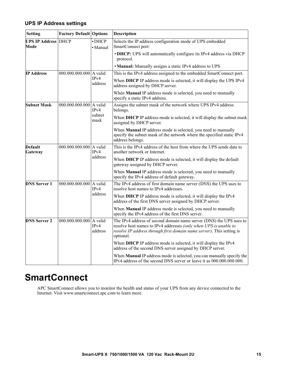#### **UPS IP Address settings**

| <b>Setting</b>                     | <b>Factory Default Options</b> |                          | Description                                                                                                                                                                                                                   |
|------------------------------------|--------------------------------|--------------------------|-------------------------------------------------------------------------------------------------------------------------------------------------------------------------------------------------------------------------------|
| <b>UPS IP Address DHCP</b><br>Mode |                                | $\cdot$ DHCP<br>· Manual | Selects the IP address configuration mode of UPS embedded<br>SmartConnect port:                                                                                                                                               |
|                                    |                                |                          | • DHCP: UPS will automatically configure its IPv4 address via DHCP<br>protocol.                                                                                                                                               |
|                                    |                                |                          | • Manual: Manually assigns a static IPv4 address to UPS                                                                                                                                                                       |
| <b>IP Address</b>                  | 000.000.000.000 A valid        |                          | This is the IPv4 address assigned to the embedded SmartConnect port.                                                                                                                                                          |
|                                    |                                | IPv4<br>address          | When DHCP IP address mode is selected, it will display the UPS IPv4<br>address assigned by DHCP server.                                                                                                                       |
|                                    |                                |                          | When Manual IP address mode is selected, you need to manually<br>specify a static IPv4 address.                                                                                                                               |
| <b>Subnet Mask</b>                 | 000.000.000.000 A valid        | IPv4                     | Assigns the subnet mask of the network where UPS IPv4 address<br>belongs.                                                                                                                                                     |
|                                    |                                | subnet<br>mask           | When DHCP IP address mode is selected, it will display the subnet mask<br>assigned by DHCP server.                                                                                                                            |
|                                    |                                |                          | When Manual IP address mode is selected, you need to manually<br>specify the subnet mask of the network where the specified static IPv4<br>address belongs.                                                                   |
| Default<br>Gateway                 | 000.000.000.000 A valid        | IPv4                     | This is the IPv4 address of the host from where the UPS sends data to<br>another network or Internet.                                                                                                                         |
|                                    |                                | address                  | When DHCP IP address mode is selected, it will display the default<br>gateway assigned by DHCP server.                                                                                                                        |
|                                    |                                |                          | When Manual IP address mode is selected, you need to manually<br>specify the IPv4 address of default gateway.                                                                                                                 |
| <b>DNS Server 1</b>                | 000.000.000.000 A valid        | IPv4<br>address          | The IPv4 address of first domain name server (DNS) the UPS uses to<br>resolve host names to IPv4 addresses.                                                                                                                   |
|                                    |                                |                          | When DHCP IP address mode is selected, it will display the IPv4<br>address of the first DNS server assigned by DHCP server.                                                                                                   |
|                                    |                                |                          | When Manual IP address mode is selected, you need to manually<br>specify the IPv4 address of the first DNS server.                                                                                                            |
| <b>DNS Server 2</b>                | 000.000.000.000 A valid        | IPv4<br>address          | The IPv4 address of second domain name server (DNS) the UPS uses to<br>resolve host names to IPv4 addresses (only when UPS is unable to<br>resolve IP address through first domain name server). This setting is<br>optional. |
|                                    |                                |                          | When DHCP IP address mode is selected, it will display the IPv4<br>address of the second DNS server assigned by DHCP server.                                                                                                  |
|                                    |                                |                          | When Manual IP address mode is selected, you can manually specify the<br>IPv4 address of the second DNS server or leave it as 000.000.000.000.                                                                                |

### **SmartConnect**

APC SmartConnect allows you to monitor the health and status of your UPS from any device connected to the Internet. Visit www.smartconnect.apc.com to learn more.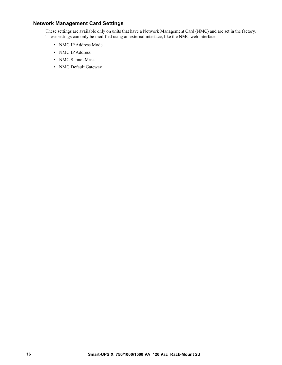#### **Network Management Card Settings**

These settings are available only on units that have a Network Management Card (NMC) and are set in the factory. These settings can only be modified using an external interface, like the NMC web interface.

- NMC IP Address Mode
- NMC IP Address
- NMC Subnet Mask
- NMC Default Gateway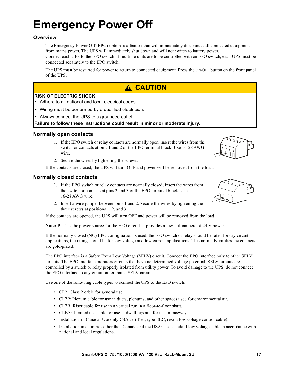## **Emergency Power Off**

#### **Overview**

The Emergency Power Off (EPO) option is a feature that will immediately disconnect all connected equipment from mains power. The UPS will immediately shut down and will not switch to battery power.

Connect each UPS to the EPO switch. If multiple units are to be controlled with an EPO switch, each UPS must be connected separately to the EPO switch.

The UPS must be restarted for power to return to connected equipment. Press the ON/OFF button on the front panel of the UPS.

#### **A CAUTION**

#### **RISK OF ELECTRIC SHOCK**

- Adhere to all national and local electrical codes.
- Wiring must be performed by a qualified electrician.
- Always connect the UPS to a grounded outlet.

#### **Failure to follow these instructions could result in minor or moderate injury.**

#### **Normally open contacts**

1. If the EPO switch or relay contacts are normally open, insert the wires from the switch or contacts at pins 1 and 2 of the EPO terminal block. Use 16-28 AWG wire.



2. Secure the wires by tightening the screws.

If the contacts are closed, the UPS will turn OFF and power will be removed from the load.

#### **Normally closed contacts**

- 1. If the EPO switch or relay contacts are normally closed, insert the wires from the switch or contacts at pins 2 and 3 of the EPO terminal block. Use 16-28 AWG wire.
- 2. Insert a wire jumper between pins 1 and 2. Secure the wires by tightening the three screws at positions 1, 2, and 3.

If the contacts are opened, the UPS will turn OFF and power will be removed from the load.

**Note:** Pin 1 is the power source for the EPO circuit, it provides a few milliampere of 24 V power.

If the normally closed (NC) EPO configuration is used, the EPO switch or relay should be rated for dry circuit applications, the rating should be for low voltage and low current applications. This normally implies the contacts are gold-plated.

The EPO interface is a Safety Extra Low Voltage (SELV) circuit. Connect the EPO interface only to other SELV circuits. The EPO interface monitors circuits that have no determined voltage potential. SELV circuits are controlled by a switch or relay properly isolated from utility power. To avoid damage to the UPS, do not connect the EPO interface to any circuit other than a SELV circuit.

Use one of the following cable types to connect the UPS to the EPO switch.

- CL2: Class 2 cable for general use.
- CL2P: Plenum cable for use in ducts, plenums, and other spaces used for environmental air.
- CL2R: Riser cable for use in a vertical run in a floor-to-floor shaft.
- CLEX: Limited use cable for use in dwellings and for use in raceways.
- Installation in Canada: Use only CSA certified, type ELC, (extra low voltage control cable).
- Installation in countries other than Canada and the USA: Use standard low voltage cable in accordance with national and local regulations.

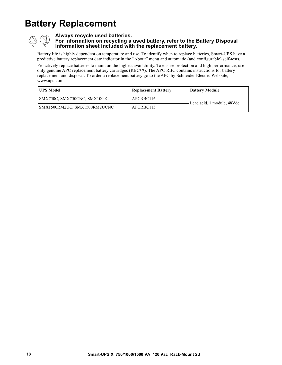## **Battery Replacement**



#### **Always recycle used batteries.**

**For information on recycling a used battery, refer to the Battery Disposal Information sheet included with the replacement battery.**

Battery life is highly dependent on temperature and use. To identify when to replace batteries, Smart-UPS have a predictive battery replacement date indicator in the "About" menu and automatic (and configurable) self-tests.

Proactively replace batteries to maintain the highest availability. To ensure protection and high performance, use only genuine APC replacement battery cartridges (RBC™). The APC RBC contains instructions for battery replacement and disposal. To order a replacement battery go to the APC by Schneider Electric Web site, www.apc.com.

| <b>IUPS Model</b>            | <b>Replacement Battery</b> | <b>Battery Module</b>      |
|------------------------------|----------------------------|----------------------------|
| SMX750C, SMX750CNC, SMX1000C | APCRBC116                  | Lead acid, 1 module, 48Vdc |
| SMX1500RM2UC, SMX1500RM2UCNC | APCRBC115                  |                            |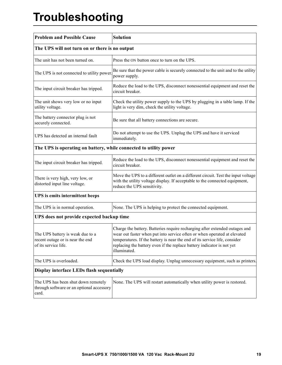## **Troubleshooting**

| <b>Problem and Possible Cause</b>                                                            | <b>Solution</b>                                                                                                                                                                                                                                                                                                                 |  |
|----------------------------------------------------------------------------------------------|---------------------------------------------------------------------------------------------------------------------------------------------------------------------------------------------------------------------------------------------------------------------------------------------------------------------------------|--|
| The UPS will not turn on or there is no output                                               |                                                                                                                                                                                                                                                                                                                                 |  |
| The unit has not been turned on.                                                             | Press the ON button once to turn on the UPS.                                                                                                                                                                                                                                                                                    |  |
| The UPS is not connected to utility power.                                                   | Be sure that the power cable is securely connected to the unit and to the utility<br>power supply.                                                                                                                                                                                                                              |  |
| The input circuit breaker has tripped.                                                       | Reduce the load to the UPS, disconnect nonessential equipment and reset the<br>circuit breaker.                                                                                                                                                                                                                                 |  |
| The unit shows very low or no input<br>utility voltage.                                      | Check the utility power supply to the UPS by plugging in a table lamp. If the<br>light is very dim, check the utility voltage.                                                                                                                                                                                                  |  |
| The battery connector plug is not<br>securely connected.                                     | Be sure that all battery connections are secure.                                                                                                                                                                                                                                                                                |  |
| UPS has detected an internal fault                                                           | Do not attempt to use the UPS. Unplug the UPS and have it serviced<br>immediately.                                                                                                                                                                                                                                              |  |
| The UPS is operating on battery, while connected to utility power                            |                                                                                                                                                                                                                                                                                                                                 |  |
| The input circuit breaker has tripped.                                                       | Reduce the load to the UPS, disconnect nonessential equipment and reset the<br>circuit breaker.                                                                                                                                                                                                                                 |  |
| There is very high, very low, or<br>distorted input line voltage.                            | Move the UPS to a different outlet on a different circuit. Test the input voltage<br>with the utility voltage display. If acceptable to the connected equipment,<br>reduce the UPS sensitivity.                                                                                                                                 |  |
| <b>UPS</b> is emits intermittent beeps                                                       |                                                                                                                                                                                                                                                                                                                                 |  |
| The UPS is in normal operation.                                                              | None. The UPS is helping to protect the connected equipment.                                                                                                                                                                                                                                                                    |  |
| UPS does not provide expected backup time                                                    |                                                                                                                                                                                                                                                                                                                                 |  |
| The UPS battery is weak due to a<br>recent outage or is near the end<br>of its service life. | Charge the battery. Batteries require recharging after extended outages and<br>wear out faster when put into service often or when operated at elevated<br>temperatures. If the battery is near the end of its service life, consider<br>replacing the battery even if the replace battery indicator is not yet<br>illuminated. |  |
| The UPS is overloaded.                                                                       | Check the UPS load display. Unplug unnecessary equipment, such as printers.                                                                                                                                                                                                                                                     |  |
| Display interface LEDs flash sequentially                                                    |                                                                                                                                                                                                                                                                                                                                 |  |
| The UPS has been shut down remotely<br>through software or an optional accessory<br>card.    | None. The UPS will restart automatically when utility power is restored.                                                                                                                                                                                                                                                        |  |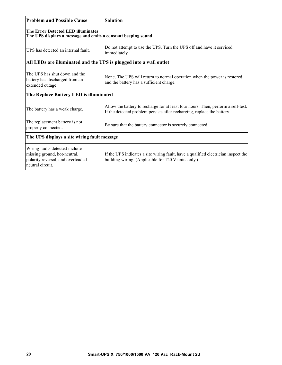| <b>Problem and Possible Cause</b>                                                                                       | <b>Solution</b>                                                                                                                                              |  |
|-------------------------------------------------------------------------------------------------------------------------|--------------------------------------------------------------------------------------------------------------------------------------------------------------|--|
| The Error Detected LED illuminates<br>The UPS displays a message and emits a constant beeping sound                     |                                                                                                                                                              |  |
| UPS has detected an internal fault.                                                                                     | Do not attempt to use the UPS. Turn the UPS off and have it serviced<br>immediately.                                                                         |  |
| All LEDs are illuminated and the UPS is plugged into a wall outlet                                                      |                                                                                                                                                              |  |
| The UPS has shut down and the<br>battery has discharged from an<br>extended outage.                                     | None. The UPS will return to normal operation when the power is restored<br>and the battery has a sufficient charge.                                         |  |
| The Replace Battery LED is illuminated                                                                                  |                                                                                                                                                              |  |
| The battery has a weak charge.                                                                                          | Allow the battery to recharge for at least four hours. Then, perform a self-test.<br>If the detected problem persists after recharging, replace the battery. |  |
| The replacement battery is not<br>properly connected.                                                                   | Be sure that the battery connector is securely connected.                                                                                                    |  |
| The UPS displays a site wiring fault message                                                                            |                                                                                                                                                              |  |
| Wiring faults detected include<br>missing ground, hot-neutral,<br>polarity reversal, and overloaded<br>neutral circuit. | If the UPS indicates a site wiring fault, have a qualified electrician inspect the<br>building wiring. (Applicable for 120 V units only.)                    |  |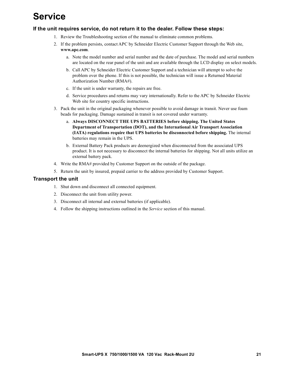## **Service**

#### **If the unit requires service, do not return it to the dealer. Follow these steps:**

- 1. Review the Troubleshooting section of the manual to eliminate common problems.
- 2. If the problem persists, contact APC by Schneider Electric Customer Support through the Web site, **www.apc.com**.
	- a. Note the model number and serial number and the date of purchase. The model and serial numbers are located on the rear panel of the unit and are available through the LCD display on select models.
	- b. Call APC by Schneider Electric Customer Support and a technician will attempt to solve the problem over the phone. If this is not possible, the technician will issue a Returned Material Authorization Number (RMA#).
	- c. If the unit is under warranty, the repairs are free.
	- d. Service procedures and returns may vary internationally. Refer to the APC by Schneider Electric Web site for country specific instructions.
- 3. Pack the unit in the original packaging whenever possible to avoid damage in transit. Never use foam beads for packaging. Damage sustained in transit is not covered under warranty.
	- a. **Always DISCONNECT THE UPS BATTERIES before shipping. The United States Department of Transportation (DOT), and the International Air Transport Association (IATA) regulations require that UPS batteries be disconnected before shipping.** The internal batteries may remain in the UPS.
	- b. External Battery Pack products are deenergized when disconnected from the associated UPS product. It is not necessary to disconnect the internal batteries for shipping. Not all units utilize an external battery pack.
- 4. Write the RMA# provided by Customer Support on the outside of the package.
- 5. Return the unit by insured, prepaid carrier to the address provided by Customer Support.

#### **Transport the unit**

- 1. Shut down and disconnect all connected equipment.
- 2. Disconnect the unit from utility power.
- 3. Disconnect all internal and external batteries (if applicable).
- 4. Follow the shipping instructions outlined in the *Service* section of this manual.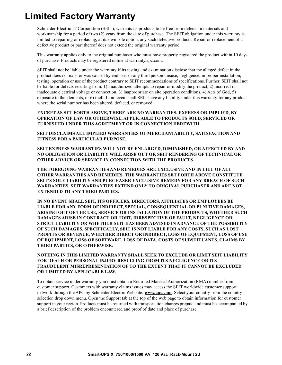### **Limited Factory Warranty**

Schneider Electric IT Corporation (SEIT), warrants its products to be free from defects in materials and workmanship for a period of two (2) years from the date of purchase. The SEIT obligation under this warranty is limited to repairing or replacing, at its own sole option, any such defective products. Repair or replacement of a defective product or part thereof does not extend the original warranty period.

This warranty applies only to the original purchaser who must have properly registered the product within 10 days of purchase. Products may be registered online at warranty.apc.com.

SEIT shall not be liable under the warranty if its testing and examination disclose that the alleged defect in the product does not exist or was caused by end user or any third person misuse, negligence, improper installation, testing, operation or use of the product contrary to SEIT recommendations of specifications. Further, SEIT shall not be liable for defects resulting from: 1) unauthorized attempts to repair or modify the product, 2) incorrect or inadequate electrical voltage or connection, 3) inappropriate on site operation conditions, 4) Acts of God, 5) exposure to the elements, or 6) theft. In no event shall SEIT have any liability under this warranty for any product where the serial number has been altered, defaced, or removed.

**EXCEPT AS SET FORTH ABOVE, THERE ARE NO WARRANTIES, EXPRESS OR IMPLIED, BY OPERATION OF LAW OR OTHERWISE, APPLICABLE TO PRODUCTS SOLD, SERVICED OR FURNISHED UNDER THIS AGREEMENT OR IN CONNECTION HEREWITH.** 

**SEIT DISCLAIMS ALL IMPLIED WARRANTIES OF MERCHANTABILITY, SATISFACTION AND FITNESS FOR A PARTICULAR PURPOSE.** 

**SEIT EXPRESS WARRANTIES WILL NOT BE ENLARGED, DIMINISHED, OR AFFECTED BY AND NO OBLIGATION OR LIABILITY WILL ARISE OUT OF, SEIT RENDERING OF TECHNICAL OR OTHER ADVICE OR SERVICE IN CONNECTION WITH THE PRODUCTS.** 

**THE FOREGOING WARRANTIES AND REMEDIES ARE EXCLUSIVE AND IN LIEU OF ALL OTHER WARRANTIES AND REMEDIES. THE WARRANTIES SET FORTH ABOVE CONSTITUTE SEIT'S SOLE LIABILITY AND PURCHASER EXCLUSIVE REMEDY FOR ANY BREACH OF SUCH WARRANTIES. SEIT WARRANTIES EXTEND ONLY TO ORIGINAL PURCHASER AND ARE NOT EXTENDED TO ANY THIRD PARTIES.** 

**IN NO EVENT SHALL SEIT, ITS OFFICERS, DIRECTORS, AFFILIATES OR EMPLOYEES BE LIABLE FOR ANY FORM OF INDIRECT, SPECIAL, CONSEQUENTIAL OR PUNITIVE DAMAGES, ARISING OUT OF THE USE, SERVICE OR INSTALLATION OF THE PRODUCTS, WHETHER SUCH DAMAGES ARISE IN CONTRACT OR TORT, IRRESPECTIVE OF FAULT, NEGLIGENCE OR STRICT LIABILITY OR WHETHER SEIT HAS BEEN ADVISED IN ADVANCE OF THE POSSIBILITY OF SUCH DAMAGES. SPECIFICALLY, SEIT IS NOT LIABLE FOR ANY COSTS, SUCH AS LOST PROFITS OR REVENUE, WHETHER DIRECT OR INDIRECT, LOSS OF EQUIPMENT, LOSS OF USE OF EQUIPMENT, LOSS OF SOFTWARE, LOSS OF DATA, COSTS OF SUBSTITUANTS, CLAIMS BY THIRD PARTIES, OR OTHERWISE.**

**NOTHING IN THIS LIMITED WARRANTY SHALL SEEK TO EXCLUDE OR LIMIT SEIT LIABILITY FOR DEATH OR PERSONAL INJURY RESULTING FROM ITS NEGLIGENCE OR ITS FRAUDULENT MISREPRESENTATION OF TO THE EXTENT THAT IT CANNOT BE EXCLUDED OR LIMITED BY APPLICABLE LAW.**

To obtain service under warranty you must obtain a Returned Material Authorization (RMA) number from customer support. Customers with warranty claims issues may access the SEIT worldwide customer support network through the APC by Schneider Electric Web site: **www.apc.com**. Select your country from the country selection drop down menu. Open the Support tab at the top of the web page to obtain information for customer support in your region. Products must be returned with transportation charges prepaid and must be accompanied by a brief description of the problem encountered and proof of date and place of purchase.